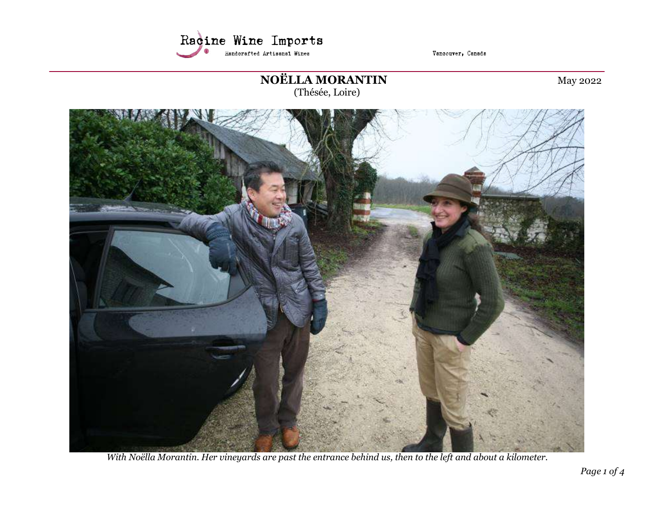

Vancouver, Canada

# NOËLLA MORANTIN May 2022

(Thésée, Loire)



With Noëlla Morantin. Her vineyards are past the entrance behind us, then to the left and about a kilometer.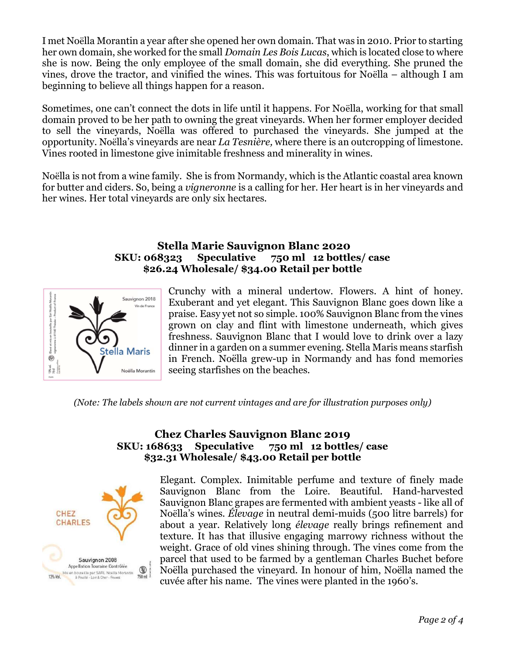I met Noëlla Morantin a year after she opened her own domain. That was in 2010. Prior to starting her own domain, she worked for the small *Domain Les Bois Lucas*, which is located close to where she is now. Being the only employee of the small domain, she did everything. She pruned the vines, drove the tractor, and vinified the wines. This was fortuitous for Noëlla – although I am beginning to believe all things happen for a reason.

Sometimes, one can't connect the dots in life until it happens. For Noëlla, working for that small domain proved to be her path to owning the great vineyards. When her former employer decided to sell the vineyards, Noëlla was offered to purchased the vineyards. She jumped at the opportunity. Noëlla's vineyards are near La Tesnière, where there is an outcropping of limestone. Vines rooted in limestone give inimitable freshness and minerality in wines.

Noëlla is not from a wine family. She is from Normandy, which is the Atlantic coastal area known for butter and ciders. So, being a vigneronne is a calling for her. Her heart is in her vineyards and her wines. Her total vineyards are only six hectares.

#### Stella Marie Sauvignon Blanc 2020 SKU: 068323 Speculative 750 ml 12 bottles/ case \$26.24 Wholesale/ \$34.00 Retail per bottle



Crunchy with a mineral undertow. Flowers. A hint of honey. Exuberant and yet elegant. This Sauvignon Blanc goes down like a praise. Easy yet not so simple. 100% Sauvignon Blanc from the vines grown on clay and flint with limestone underneath, which gives freshness. Sauvignon Blanc that I would love to drink over a lazy dinner in a garden on a summer evening. Stella Maris means starfish in French. Noëlla grew-up in Normandy and has fond memories seeing starfishes on the beaches.

(Note: The labels shown are not current vintages and are for illustration purposes only)

## Chez Charles Sauvignon Blanc 2019 SKU: 168633 Speculative 750 ml 12 bottles/ case \$32.31 Wholesale/ \$43.00 Retail per bottle



Elegant. Complex. Inimitable perfume and texture of finely made Sauvignon Blanc from the Loire. Beautiful. Hand-harvested Sauvignon Blanc grapes are fermented with ambient yeasts - like all of Noëlla's wines. Élevage in neutral demi-muids (500 litre barrels) for about a year. Relatively long élevage really brings refinement and texture. It has that illusive engaging marrowy richness without the weight. Grace of old vines shining through. The vines come from the parcel that used to be farmed by a gentleman Charles Buchet before Noëlla purchased the vineyard. In honour of him, Noëlla named the cuvée after his name. The vines were planted in the 1960's.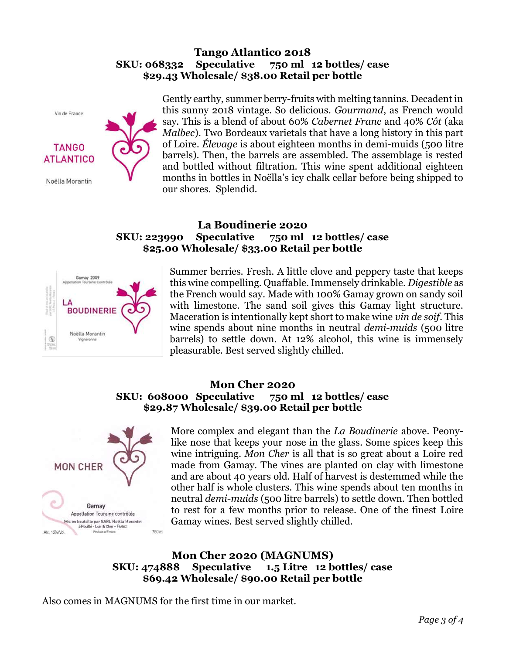#### Tango Atlantico 2018 SKU: 068332 Speculative 750 ml 12 bottles/ case \$29.43 Wholesale/ \$38.00 Retail per bottle



Gently earthy, summer berry-fruits with melting tannins. Decadent in this sunny 2018 vintage. So delicious. Gourmand, as French would say. This is a blend of about 60% Cabernet Franc and 40% Côt (aka Malbec). Two Bordeaux varietals that have a long history in this part of Loire. Élevage is about eighteen months in demi-muids (500 litre barrels). Then, the barrels are assembled. The assemblage is rested and bottled without filtration. This wine spent additional eighteen months in bottles in Noëlla's icy chalk cellar before being shipped to our shores. Splendid.

## La Boudinerie 2020 SKU: 223990 Speculative 750 ml 12 bottles/ case \$25.00 Wholesale/ \$33.00 Retail per bottle



Summer berries. Fresh. A little clove and peppery taste that keeps this wine compelling. Quaffable. Immensely drinkable. Digestible as the French would say. Made with 100% Gamay grown on sandy soil with limestone. The sand soil gives this Gamay light structure. Maceration is intentionally kept short to make wine vin de soif. This wine spends about nine months in neutral *demi-muids* (500 litre barrels) to settle down. At 12% alcohol, this wine is immensely pleasurable. Best served slightly chilled.

### Mon Cher 2020 SKU: 608000 Speculative 750 ml 12 bottles/ case \$29.87 Wholesale/ \$39.00 Retail per bottle



More complex and elegant than the La Boudinerie above. Peonylike nose that keeps your nose in the glass. Some spices keep this wine intriguing. Mon Cher is all that is so great about a Loire red made from Gamay. The vines are planted on clay with limestone and are about 40 years old. Half of harvest is destemmed while the other half is whole clusters. This wine spends about ten months in neutral demi-muids (500 litre barrels) to settle down. Then bottled to rest for a few months prior to release. One of the finest Loire Gamay wines. Best served slightly chilled.

## Mon Cher 2020 (MAGNUMS) SKU: 474888 Speculative 1.5 Litre 12 bottles/ case \$69.42 Wholesale/ \$90.00 Retail per bottle

Also comes in MAGNUMS for the first time in our market.